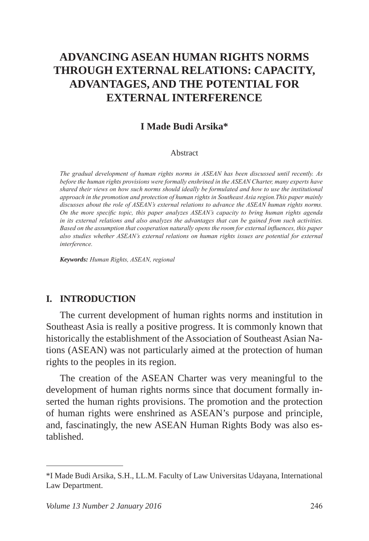# **ADVANCING ASEAN HUMAN RIGHTS NORMS THROUGH EXTERNAL RELATIONS: CAPACITY, ADVANTAGES, AND THE POTENTIAL FOR EXTERNAL INTERFERENCE**

### **I Made Budi Arsika\***

#### Abstract

*The gradual development of human rights norms in ASEAN has been discussed until recently. As before the human rights provisions were formally enshrined in the ASEAN Charter, many experts have shared their views on how such norms should ideally be formulated and how to use the institutional approach in the promotion and protection of human rights in Southeast Asia region.This paper mainly discusses about the role of ASEAN's external relations to advance the ASEAN human rights norms. On the more specific topic, this paper analyzes ASEAN's capacity to bring human rights agenda in its external relations and also analyzes the advantages that can be gained from such activities. Based on the assumption that cooperation naturally opens the room for external influences, this paper also studies whether ASEAN's external relations on human rights issues are potential for external interference.*

*Keywords: Human Rights, ASEAN, regional*

#### **I. INTRODUCTION**

The current development of human rights norms and institution in Southeast Asia is really a positive progress. It is commonly known that historically the establishment of the Association of Southeast Asian Nations (ASEAN) was not particularly aimed at the protection of human rights to the peoples in its region.

The creation of the ASEAN Charter was very meaningful to the development of human rights norms since that document formally inserted the human rights provisions. The promotion and the protection of human rights were enshrined as ASEAN's purpose and principle, and, fascinatingly, the new ASEAN Human Rights Body was also established.

<sup>\*</sup>I Made Budi Arsika, S.H., LL.M. Faculty of Law Universitas Udayana, International Law Department.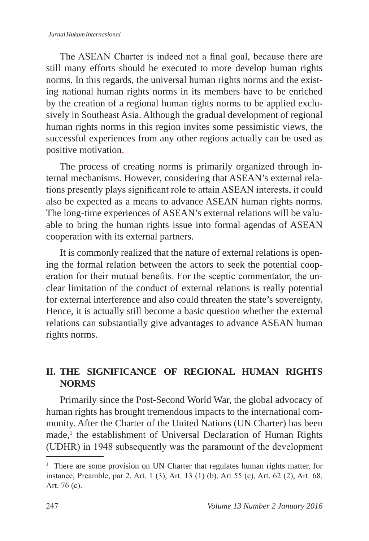The ASEAN Charter is indeed not a final goal, because there are still many efforts should be executed to more develop human rights norms. In this regards, the universal human rights norms and the existing national human rights norms in its members have to be enriched by the creation of a regional human rights norms to be applied exclusively in Southeast Asia. Although the gradual development of regional human rights norms in this region invites some pessimistic views, the successful experiences from any other regions actually can be used as positive motivation.

The process of creating norms is primarily organized through internal mechanisms. However, considering that ASEAN's external relations presently plays significant role to attain ASEAN interests, it could also be expected as a means to advance ASEAN human rights norms. The long-time experiences of ASEAN's external relations will be valuable to bring the human rights issue into formal agendas of ASEAN cooperation with its external partners.

It is commonly realized that the nature of external relations is opening the formal relation between the actors to seek the potential cooperation for their mutual benefits. For the sceptic commentator, the unclear limitation of the conduct of external relations is really potential for external interference and also could threaten the state's sovereignty. Hence, it is actually still become a basic question whether the external relations can substantially give advantages to advance ASEAN human rights norms.

# **II. THE SIGNIFICANCE OF REGIONAL HUMAN RIGHTS NORMS**

Primarily since the Post-Second World War, the global advocacy of human rights has brought tremendous impacts to the international community. After the Charter of the United Nations (UN Charter) has been made,<sup>1</sup> the establishment of Universal Declaration of Human Rights (UDHR) in 1948 subsequently was the paramount of the development

<sup>&</sup>lt;sup>1</sup> There are some provision on UN Charter that regulates human rights matter, for instance; Preamble, par 2, Art. 1 (3), Art. 13 (1) (b), Art 55 (c), Art. 62 (2), Art. 68, Art. 76 (c).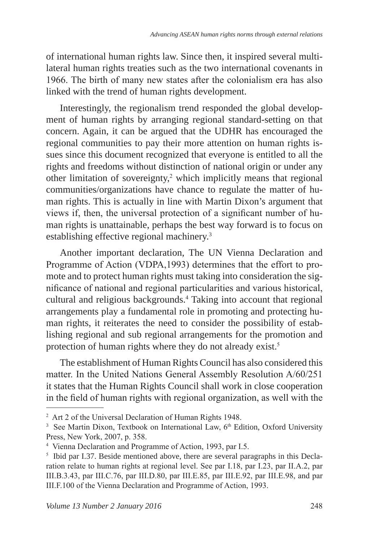of international human rights law. Since then, it inspired several multilateral human rights treaties such as the two international covenants in 1966. The birth of many new states after the colonialism era has also linked with the trend of human rights development.

Interestingly, the regionalism trend responded the global development of human rights by arranging regional standard-setting on that concern. Again, it can be argued that the UDHR has encouraged the regional communities to pay their more attention on human rights issues since this document recognized that everyone is entitled to all the rights and freedoms without distinction of national origin or under any other limitation of sovereignty,<sup>2</sup> which implicitly means that regional communities/organizations have chance to regulate the matter of human rights. This is actually in line with Martin Dixon's argument that views if, then, the universal protection of a significant number of human rights is unattainable, perhaps the best way forward is to focus on establishing effective regional machinery.3

Another important declaration, The UN Vienna Declaration and Programme of Action (VDPA,1993) determines that the effort to promote and to protect human rights must taking into consideration the significance of national and regional particularities and various historical, cultural and religious backgrounds.<sup>4</sup> Taking into account that regional arrangements play a fundamental role in promoting and protecting human rights, it reiterates the need to consider the possibility of establishing regional and sub regional arrangements for the promotion and protection of human rights where they do not already exist.<sup>5</sup>

The establishment of Human Rights Council has also considered this matter. In the United Nations General Assembly Resolution A/60/251 it states that the Human Rights Council shall work in close cooperation in the field of human rights with regional organization, as well with the

<sup>2</sup> Art 2 of the Universal Declaration of Human Rights 1948.

<sup>&</sup>lt;sup>3</sup> See Martin Dixon, Textbook on International Law, 6<sup>th</sup> Edition, Oxford University Press, New York, 2007, p. 358.

<sup>4</sup> Vienna Declaration and Programme of Action, 1993, par I.5.

<sup>&</sup>lt;sup>5</sup> Ibid par I.37. Beside mentioned above, there are several paragraphs in this Declaration relate to human rights at regional level. See par I.18, par I.23, par II.A.2, par III.B.3.43, par III.C.76, par III.D.80, par III.E.85, par III.E.92, par III.E.98, and par III.F.100 of the Vienna Declaration and Programme of Action, 1993.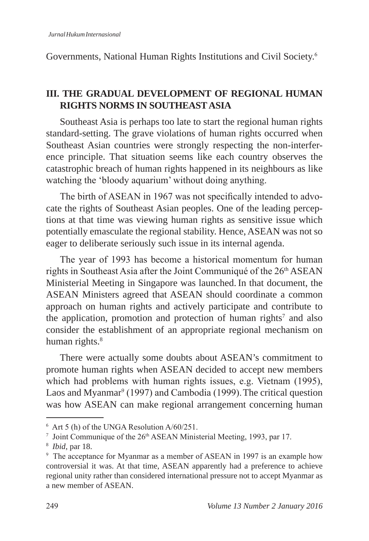Governments, National Human Rights Institutions and Civil Society.<sup>6</sup>

# **III. THE GRADUAL DEVELOPMENT OF REGIONAL HUMAN RIGHTS NORMS IN SOUTHEAST ASIA**

Southeast Asia is perhaps too late to start the regional human rights standard-setting. The grave violations of human rights occurred when Southeast Asian countries were strongly respecting the non-interference principle. That situation seems like each country observes the catastrophic breach of human rights happened in its neighbours as like watching the 'bloody aquarium' without doing anything.

The birth of ASEAN in 1967 was not specifically intended to advocate the rights of Southeast Asian peoples. One of the leading perceptions at that time was viewing human rights as sensitive issue which potentially emasculate the regional stability. Hence, ASEAN was not so eager to deliberate seriously such issue in its internal agenda.

The year of 1993 has become a historical momentum for human rights in Southeast Asia after the Joint Communiqué of the 26<sup>th</sup> ASEAN Ministerial Meeting in Singapore was launched. In that document, the ASEAN Ministers agreed that ASEAN should coordinate a common approach on human rights and actively participate and contribute to the application, promotion and protection of human rights<sup>7</sup> and also consider the establishment of an appropriate regional mechanism on human rights.<sup>8</sup>

There were actually some doubts about ASEAN's commitment to promote human rights when ASEAN decided to accept new members which had problems with human rights issues, e.g. Vietnam (1995), Laos and Myanmar<sup>9</sup> (1997) and Cambodia (1999). The critical question was how ASEAN can make regional arrangement concerning human

<sup>6</sup> Art 5 (h) of the UNGA Resolution A/60/251.

<sup>&</sup>lt;sup>7</sup> Joint Communique of the 26<sup>th</sup> ASEAN Ministerial Meeting, 1993, par 17.

<sup>8</sup> *Ibid*, par 18.

<sup>9</sup> The acceptance for Myanmar as a member of ASEAN in 1997 is an example how controversial it was. At that time, ASEAN apparently had a preference to achieve regional unity rather than considered international pressure not to accept Myanmar as a new member of ASEAN.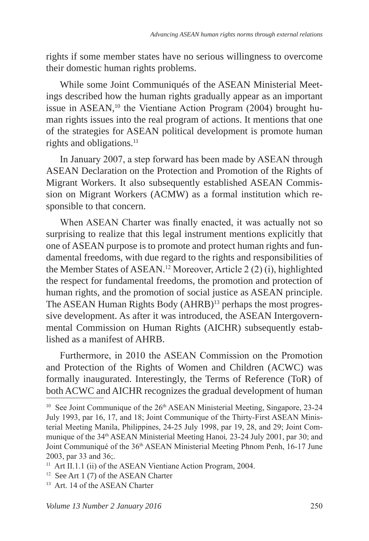rights if some member states have no serious willingness to overcome their domestic human rights problems.

While some Joint Communiqués of the ASEAN Ministerial Meetings described how the human rights gradually appear as an important issue in ASEAN,<sup>10</sup> the Vientiane Action Program  $(2004)$  brought human rights issues into the real program of actions. It mentions that one of the strategies for ASEAN political development is promote human rights and obligations.<sup>11</sup>

In January 2007, a step forward has been made by ASEAN through ASEAN Declaration on the Protection and Promotion of the Rights of Migrant Workers. It also subsequently established ASEAN Commission on Migrant Workers (ACMW) as a formal institution which responsible to that concern.

When ASEAN Charter was finally enacted, it was actually not so surprising to realize that this legal instrument mentions explicitly that one of ASEAN purpose is to promote and protect human rights and fundamental freedoms, with due regard to the rights and responsibilities of the Member States of ASEAN.12 Moreover, Article 2 (2) (i), highlighted the respect for fundamental freedoms, the promotion and protection of human rights, and the promotion of social justice as ASEAN principle. The ASEAN Human Rights Body (AHRB)<sup>13</sup> perhaps the most progressive development. As after it was introduced, the ASEAN Intergovernmental Commission on Human Rights (AICHR) subsequently established as a manifest of AHRB.

Furthermore, in 2010 the ASEAN Commission on the Promotion and Protection of the Rights of Women and Children (ACWC) was formally inaugurated. Interestingly, the Terms of Reference (ToR) of both ACWC and AICHR recognizes the gradual development of human

<sup>13</sup> Art. 14 of the ASEAN Charter

<sup>&</sup>lt;sup>10</sup> See Joint Communique of the 26<sup>th</sup> ASEAN Ministerial Meeting, Singapore, 23-24 July 1993, par 16, 17, and 18; Joint Communique of the Thirty-First ASEAN Ministerial Meeting Manila, Philippines, 24-25 July 1998, par 19, 28, and 29; Joint Communique of the 34th ASEAN Ministerial Meeting Hanoi*,* 23-24 July 2001, par 30; and Joint Communiqué of the 36th ASEAN Ministerial Meeting Phnom Penh, 16-17 June 2003, par 33 and 36;.

<sup>&</sup>lt;sup>11</sup> Art II.1.1 (ii) of the ASEAN Vientiane Action Program, 2004.

<sup>&</sup>lt;sup>12</sup> See Art 1 (7) of the ASEAN Charter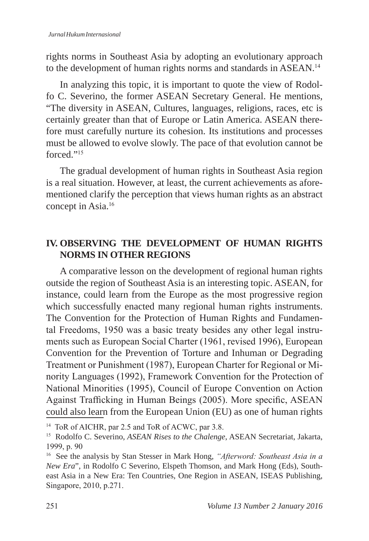rights norms in Southeast Asia by adopting an evolutionary approach to the development of human rights norms and standards in ASEAN.<sup>14</sup>

In analyzing this topic, it is important to quote the view of Rodolfo C. Severino, the former ASEAN Secretary General. He mentions, "The diversity in ASEAN, Cultures, languages, religions, races, etc is certainly greater than that of Europe or Latin America. ASEAN therefore must carefully nurture its cohesion. Its institutions and processes must be allowed to evolve slowly. The pace of that evolution cannot be forced."<sup>15</sup>

The gradual development of human rights in Southeast Asia region is a real situation. However, at least, the current achievements as aforementioned clarify the perception that views human rights as an abstract concept in Asia.<sup>16</sup>

# **IV. OBSERVING THE DEVELOPMENT OF HUMAN RIGHTS NORMS IN OTHER REGIONS**

A comparative lesson on the development of regional human rights outside the region of Southeast Asia is an interesting topic. ASEAN, for instance, could learn from the Europe as the most progressive region which successfully enacted many regional human rights instruments. The Convention for the Protection of Human Rights and Fundamental Freedoms, 1950 was a basic treaty besides any other legal instruments such as European Social Charter (1961, revised 1996), European Convention for the Prevention of Torture and Inhuman or Degrading Treatment or Punishment (1987), European Charter for Regional or Minority Languages (1992), Framework Convention for the Protection of National Minorities (1995), Council of Europe Convention on Action Against Trafficking in Human Beings (2005). More specific, ASEAN could also learn from the European Union (EU) as one of human rights

<sup>14</sup> ToR of AICHR, par 2.5 and ToR of ACWC, par 3.8.

<sup>15</sup> Rodolfo C. Severino, *ASEAN Rises to the Chalenge*, ASEAN Secretariat, Jakarta, 1999, p. 90

<sup>16</sup> See the analysis by Stan Stesser in Mark Hong, *"Afterword: Southeast Asia in a New Era*", in Rodolfo C Severino, Elspeth Thomson, and Mark Hong (Eds), Southeast Asia in a New Era: Ten Countries, One Region in ASEAN, ISEAS Publishing, Singapore, 2010, p.271.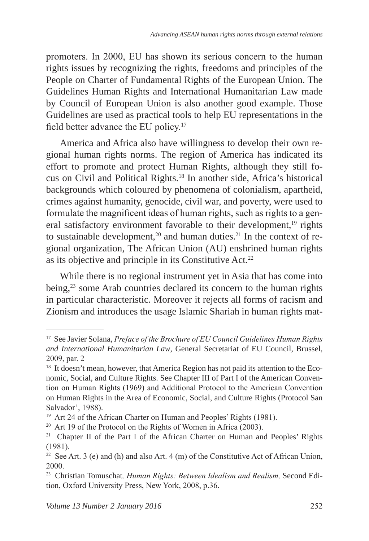promoters. In 2000, EU has shown its serious concern to the human rights issues by recognizing the rights, freedoms and principles of the People on Charter of Fundamental Rights of the European Union. The Guidelines Human Rights and International Humanitarian Law made by Council of European Union is also another good example. Those Guidelines are used as practical tools to help EU representations in the field better advance the EU policy.<sup>17</sup>

America and Africa also have willingness to develop their own regional human rights norms. The region of America has indicated its effort to promote and protect Human Rights, although they still focus on Civil and Political Rights.18 In another side, Africa's historical backgrounds which coloured by phenomena of colonialism, apartheid, crimes against humanity, genocide, civil war, and poverty, were used to formulate the magnificent ideas of human rights, such as rights to a general satisfactory environment favorable to their development,<sup>19</sup> rights to sustainable development, $20$  and human duties. $21$  In the context of regional organization, The African Union (AU) enshrined human rights as its objective and principle in its Constitutive Act.<sup>22</sup>

While there is no regional instrument yet in Asia that has come into being,<sup>23</sup> some Arab countries declared its concern to the human rights in particular characteristic. Moreover it rejects all forms of racism and Zionism and introduces the usage Islamic Shariah in human rights mat-

<sup>17</sup> See Javier Solana, *Preface of the Brochure of EU Council Guidelines Human Rights and International Humanitarian Law*, General Secretariat of EU Council, Brussel, 2009, par. 2

<sup>&</sup>lt;sup>18</sup> It doesn't mean, however, that America Region has not paid its attention to the Economic, Social, and Culture Rights. See Chapter III of Part I of the American Convention on Human Rights (1969) and Additional Protocol to the American Convention on Human Rights in the Area of Economic, Social, and Culture Rights (Protocol San Salvador', 1988).

<sup>&</sup>lt;sup>19</sup> Art 24 of the African Charter on Human and Peoples' Rights (1981).

<sup>20</sup> Art 19 of the Protocol on the Rights of Women in Africa (2003).

<sup>&</sup>lt;sup>21</sup> Chapter II of the Part I of the African Charter on Human and Peoples' Rights (1981).

<sup>&</sup>lt;sup>22</sup> See Art. 3 (e) and (h) and also Art. 4 (m) of the Constitutive Act of African Union, 2000.

<sup>23</sup> Christian Tomuschat*, Human Rights: Between Idealism and Realism,* Second Edition, Oxford University Press, New York, 2008, p.36.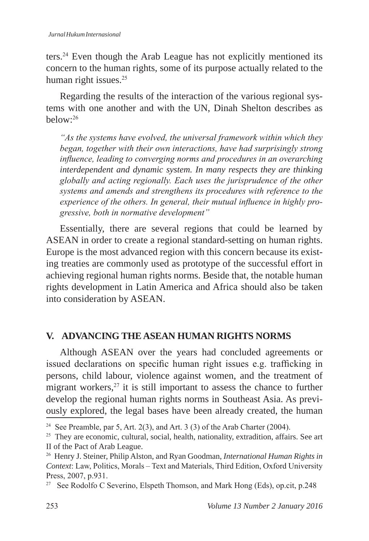ters.<sup>24</sup> Even though the Arab League has not explicitly mentioned its concern to the human rights, some of its purpose actually related to the human right issues.<sup>25</sup>

Regarding the results of the interaction of the various regional systems with one another and with the UN, Dinah Shelton describes as  $helow<sup>.26</sup>$ 

*"As the systems have evolved, the universal framework within which they began, together with their own interactions, have had surprisingly strong influence, leading to converging norms and procedures in an overarching interdependent and dynamic system. In many respects they are thinking globally and acting regionally. Each uses the jurisprudence of the other systems and amends and strengthens its procedures with reference to the experience of the others. In general, their mutual influence in highly progressive, both in normative development"* 

Essentially, there are several regions that could be learned by ASEAN in order to create a regional standard-setting on human rights. Europe is the most advanced region with this concern because its existing treaties are commonly used as prototype of the successful effort in achieving regional human rights norms. Beside that, the notable human rights development in Latin America and Africa should also be taken into consideration by ASEAN.

# **V. ADVANCING THE ASEAN HUMAN RIGHTS NORMS**

Although ASEAN over the years had concluded agreements or issued declarations on specific human right issues e.g. trafficking in persons, child labour, violence against women, and the treatment of migrant workers, $27$  it is still important to assess the chance to further develop the regional human rights norms in Southeast Asia. As previously explored, the legal bases have been already created, the human

<sup>&</sup>lt;sup>24</sup> See Preamble, par 5, Art. 2(3), and Art. 3 (3) of the Arab Charter (2004).

<sup>&</sup>lt;sup>25</sup> They are economic, cultural, social, health, nationality, extradition, affairs. See art II of the Pact of Arab League.

<sup>26</sup> Henry J. Steiner, Philip Alston, and Ryan Goodman, *International Human Rights in Context*: Law, Politics, Morals – Text and Materials, Third Edition, Oxford University Press, 2007, p.931.

<sup>&</sup>lt;sup>27</sup> See Rodolfo C Severino, Elspeth Thomson, and Mark Hong (Eds), op.cit, p.248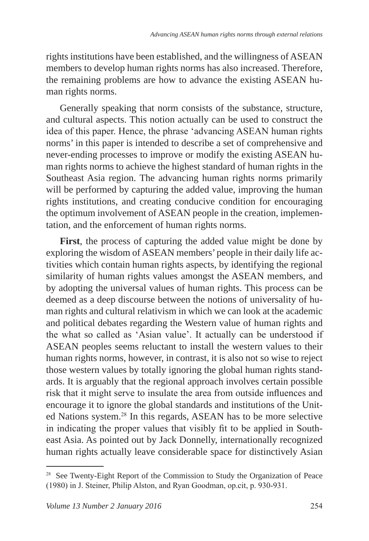rights institutions have been established, and the willingness of ASEAN members to develop human rights norms has also increased. Therefore, the remaining problems are how to advance the existing ASEAN human rights norms.

Generally speaking that norm consists of the substance, structure, and cultural aspects. This notion actually can be used to construct the idea of this paper. Hence, the phrase 'advancing ASEAN human rights norms' in this paper is intended to describe a set of comprehensive and never-ending processes to improve or modify the existing ASEAN human rights norms to achieve the highest standard of human rights in the Southeast Asia region. The advancing human rights norms primarily will be performed by capturing the added value, improving the human rights institutions, and creating conducive condition for encouraging the optimum involvement of ASEAN people in the creation, implementation, and the enforcement of human rights norms.

**First**, the process of capturing the added value might be done by exploring the wisdom of ASEAN members' people in their daily life activities which contain human rights aspects, by identifying the regional similarity of human rights values amongst the ASEAN members, and by adopting the universal values of human rights. This process can be deemed as a deep discourse between the notions of universality of human rights and cultural relativism in which we can look at the academic and political debates regarding the Western value of human rights and the what so called as 'Asian value'. It actually can be understood if ASEAN peoples seems reluctant to install the western values to their human rights norms, however, in contrast, it is also not so wise to reject those western values by totally ignoring the global human rights standards. It is arguably that the regional approach involves certain possible risk that it might serve to insulate the area from outside influences and encourage it to ignore the global standards and institutions of the United Nations system.<sup>28</sup> In this regards, ASEAN has to be more selective in indicating the proper values that visibly fit to be applied in Southeast Asia. As pointed out by Jack Donnelly, internationally recognized human rights actually leave considerable space for distinctively Asian

<sup>&</sup>lt;sup>28</sup> See Twenty-Eight Report of the Commission to Study the Organization of Peace (1980) in J. Steiner, Philip Alston, and Ryan Goodman, op.cit, p. 930-931.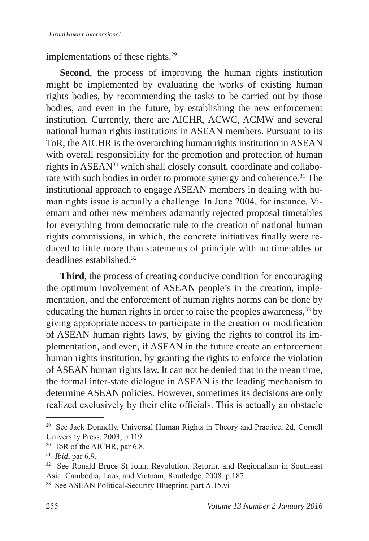implementations of these rights.<sup>29</sup>

**Second**, the process of improving the human rights institution might be implemented by evaluating the works of existing human rights bodies, by recommending the tasks to be carried out by those bodies, and even in the future, by establishing the new enforcement institution. Currently, there are AICHR, ACWC, ACMW and several national human rights institutions in ASEAN members. Pursuant to its ToR, the AICHR is the overarching human rights institution in ASEAN with overall responsibility for the promotion and protection of human rights in ASEAN<sup>30</sup> which shall closely consult, coordinate and collaborate with such bodies in order to promote synergy and coherence.<sup>31</sup> The institutional approach to engage ASEAN members in dealing with human rights issue is actually a challenge. In June 2004, for instance, Vietnam and other new members adamantly rejected proposal timetables for everything from democratic rule to the creation of national human rights commissions, in which, the concrete initiatives finally were reduced to little more than statements of principle with no timetables or deadlines established.<sup>32</sup>

**Third**, the process of creating conducive condition for encouraging the optimum involvement of ASEAN people's in the creation, implementation, and the enforcement of human rights norms can be done by educating the human rights in order to raise the peoples awareness,<sup>33</sup> by giving appropriate access to participate in the creation or modification of ASEAN human rights laws, by giving the rights to control its implementation, and even, if ASEAN in the future create an enforcement human rights institution, by granting the rights to enforce the violation of ASEAN human rights law. It can not be denied that in the mean time, the formal inter-state dialogue in ASEAN is the leading mechanism to determine ASEAN policies. However, sometimes its decisions are only realized exclusively by their elite officials. This is actually an obstacle

<sup>29</sup> See Jack Donnelly, Universal Human Rights in Theory and Practice, 2d, Cornell University Press, 2003, p.119.

<sup>30</sup> ToR of the AICHR, par 6.8.

<sup>31</sup> *Ibid*, par 6.9.

<sup>&</sup>lt;sup>32</sup> See Ronald Bruce St John, Revolution, Reform, and Regionalism in Southeast Asia: Cambodia, Laos, and Vietnam, Routledge, 2008, p.187.

<sup>33</sup> See ASEAN Political-Security Blueprint, part A.15.vi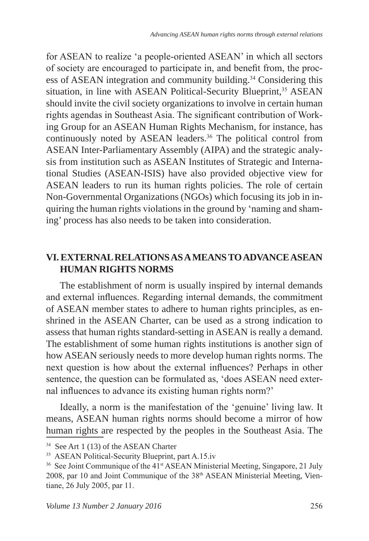for ASEAN to realize 'a people-oriented ASEAN' in which all sectors of society are encouraged to participate in, and benefit from, the process of ASEAN integration and community building.<sup>34</sup> Considering this situation, in line with ASEAN Political-Security Blueprint,<sup>35</sup> ASEAN should invite the civil society organizations to involve in certain human rights agendas in Southeast Asia. The significant contribution of Working Group for an ASEAN Human Rights Mechanism, for instance, has continuously noted by ASEAN leaders.<sup>36</sup> The political control from ASEAN Inter-Parliamentary Assembly (AIPA) and the strategic analysis from institution such as ASEAN Institutes of Strategic and International Studies (ASEAN-ISIS) have also provided objective view for ASEAN leaders to run its human rights policies. The role of certain Non-Governmental Organizations (NGOs) which focusing its job in inquiring the human rights violations in the ground by 'naming and shaming' process has also needs to be taken into consideration.

# **VI. EXTERNAL RELATIONS AS A MEANS TO ADVANCE ASEAN HUMAN RIGHTS NORMS**

The establishment of norm is usually inspired by internal demands and external influences. Regarding internal demands, the commitment of ASEAN member states to adhere to human rights principles, as enshrined in the ASEAN Charter, can be used as a strong indication to assess that human rights standard-setting in ASEAN is really a demand. The establishment of some human rights institutions is another sign of how ASEAN seriously needs to more develop human rights norms. The next question is how about the external influences? Perhaps in other sentence, the question can be formulated as, 'does ASEAN need external influences to advance its existing human rights norm?'

Ideally, a norm is the manifestation of the 'genuine' living law. It means, ASEAN human rights norms should become a mirror of how human rights are respected by the peoples in the Southeast Asia. The

<sup>&</sup>lt;sup>34</sup> See Art 1 (13) of the ASEAN Charter

<sup>35</sup> ASEAN Political-Security Blueprint, part A.15.iv

<sup>&</sup>lt;sup>36</sup> See Joint Communique of the 41<sup>st</sup> ASEAN Ministerial Meeting, Singapore, 21 July 2008, par 10 and Joint Communique of the 38<sup>th</sup> ASEAN Ministerial Meeting, Vientiane, 26 July 2005, par 11.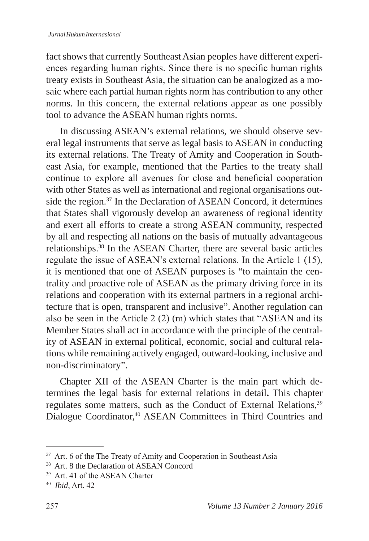fact shows that currently Southeast Asian peoples have different experiences regarding human rights. Since there is no specific human rights treaty exists in Southeast Asia, the situation can be analogized as a mosaic where each partial human rights norm has contribution to any other norms. In this concern, the external relations appear as one possibly tool to advance the ASEAN human rights norms.

In discussing ASEAN's external relations, we should observe several legal instruments that serve as legal basis to ASEAN in conducting its external relations. The Treaty of Amity and Cooperation in Southeast Asia, for example, mentioned that the Parties to the treaty shall continue to explore all avenues for close and beneficial cooperation with other States as well as international and regional organisations outside the region.<sup>37</sup> In the Declaration of ASEAN Concord, it determines that States shall vigorously develop an awareness of regional identity and exert all efforts to create a strong ASEAN community, respected by all and respecting all nations on the basis of mutually advantageous relationships.38 In the ASEAN Charter, there are several basic articles regulate the issue of ASEAN's external relations. In the Article 1 (15), it is mentioned that one of ASEAN purposes is "to maintain the centrality and proactive role of ASEAN as the primary driving force in its relations and cooperation with its external partners in a regional architecture that is open, transparent and inclusive". Another regulation can also be seen in the Article 2 (2) (m) which states that "ASEAN and its Member States shall act in accordance with the principle of the centrality of ASEAN in external political, economic, social and cultural relations while remaining actively engaged, outward-looking, inclusive and non-discriminatory".

Chapter XII of the ASEAN Charter is the main part which determines the legal basis for external relations in detail**.** This chapter regulates some matters, such as the Conduct of External Relations,<sup>39</sup> Dialogue Coordinator,<sup>40</sup> ASEAN Committees in Third Countries and

<sup>&</sup>lt;sup>37</sup> Art. 6 of the The Treaty of Amity and Cooperation in Southeast Asia

<sup>38</sup> Art. 8 the Declaration of ASEAN Concord

<sup>39</sup> Art. 41 of the ASEAN Charter

<sup>40</sup> *Ibid*, Art. 42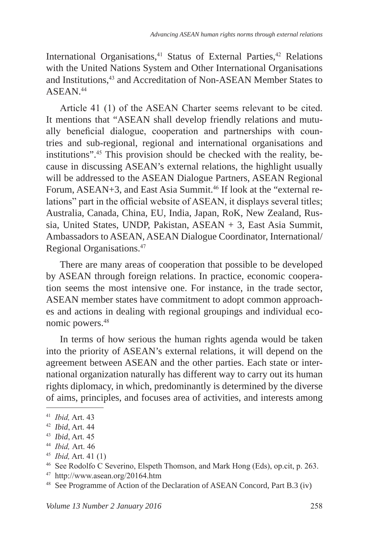International Organisations,<sup>41</sup> Status of External Parties,<sup>42</sup> Relations with the United Nations System and Other International Organisations and Institutions,<sup>43</sup> and Accreditation of Non-ASEAN Member States to ASEAN<sup>44</sup>

Article 41 (1) of the ASEAN Charter seems relevant to be cited. It mentions that "ASEAN shall develop friendly relations and mutually beneficial dialogue, cooperation and partnerships with countries and sub-regional, regional and international organisations and institutions".45 This provision should be checked with the reality, because in discussing ASEAN's external relations, the highlight usually will be addressed to the ASEAN Dialogue Partners, ASEAN Regional Forum, ASEAN+3, and East Asia Summit.<sup>46</sup> If look at the "external relations" part in the official website of ASEAN, it displays several titles; Australia, Canada, China, EU, India, Japan, RoK, New Zealand, Russia, United States, UNDP, Pakistan, ASEAN + 3, East Asia Summit, Ambassadors to ASEAN, ASEAN Dialogue Coordinator, International/ Regional Organisations.<sup>47</sup>

There are many areas of cooperation that possible to be developed by ASEAN through foreign relations. In practice, economic cooperation seems the most intensive one. For instance, in the trade sector, ASEAN member states have commitment to adopt common approaches and actions in dealing with regional groupings and individual economic powers.<sup>48</sup>

In terms of how serious the human rights agenda would be taken into the priority of ASEAN's external relations, it will depend on the agreement between ASEAN and the other parties. Each state or international organization naturally has different way to carry out its human rights diplomacy, in which, predominantly is determined by the diverse of aims, principles, and focuses area of activities, and interests among

<sup>41</sup> *Ibid,* Art. 43<br>
<sup>42</sup> *Ibid,* Art. 44<br>
<sup>43</sup> *Ibid,* Art. 45<br>
<sup>44</sup> *Ibid,* Art. 41 (1)<br>
<sup>46</sup> See Rodolfo C Severino, Elspeth Thomson, and Mark Hong (Eds), op.cit, p. 263.

<sup>47</sup> http://www.asean.org/20164.htm

<sup>48</sup> See Programme of Action of the Declaration of ASEAN Concord, Part B.3 (iv)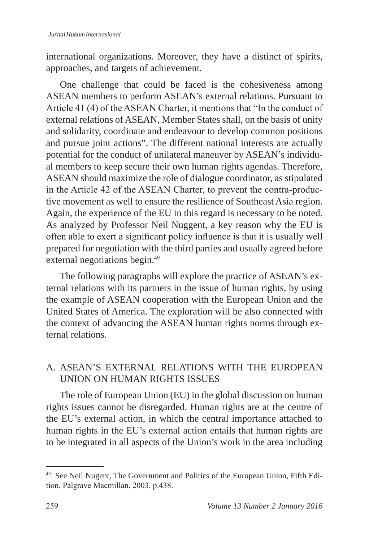international organizations. Moreover, they have a distinct of spirits, approaches, and targets of achievement.

One challenge that could be faced is the cohesiveness among ASEAN members to perform ASEAN's external relations. Pursuant to Article 41 (4) of the ASEAN Charter, it mentions that "In the conduct of external relations of ASEAN, Member States shall, on the basis of unity and solidarity, coordinate and endeavour to develop common positions and pursue joint actions". The different national interests are actually potential for the conduct of unilateral maneuver by ASEAN's individual members to keep secure their own human rights agendas. Therefore, ASEAN should maximize the role of dialogue coordinator, as stipulated in the Article 42 of the ASEAN Charter, to prevent the contra-productive movement as well to ensure the resilience of Southeast Asia region. Again, the experience of the EU in this regard is necessary to be noted. As analyzed by Professor Neil Nuggent, a key reason why the EU is often able to exert a significant policy influence is that it is usually well prepared for negotiation with the third parties and usually agreed before external negotiations begin.<sup>49</sup>

The following paragraphs will explore the practice of ASEAN's external relations with its partners in the issue of human rights, by using the example of ASEAN cooperation with the European Union and the United States of America. The exploration will be also connected with the context of advancing the ASEAN human rights norms through external relations.

# A. ASEAN'S EXTERNAL RELATIONS WITH THE EUROPEAN UNION ON HUMAN RIGHTS ISSUES

The role of European Union (EU) in the global discussion on human rights issues cannot be disregarded. Human rights are at the centre of the EU's external action, in which the central importance attached to human rights in the EU's external action entails that human rights are to be integrated in all aspects of the Union's work in the area including

<sup>&</sup>lt;sup>49</sup> See Neil Nugent, The Government and Politics of the European Union, Fifth Edition, Palgrave Macmillan, 2003, p.438.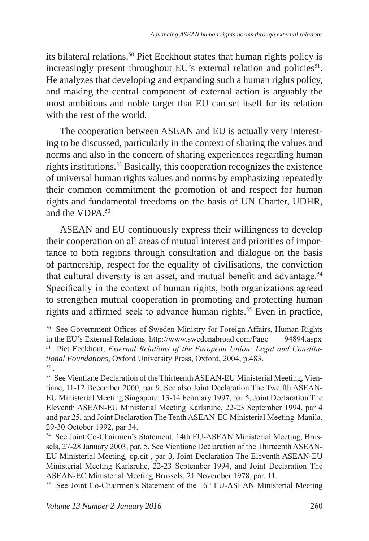its bilateral relations.<sup>50</sup> Piet Eeckhout states that human rights policy is increasingly present throughout EU's external relation and policies $51$ . He analyzes that developing and expanding such a human rights policy, and making the central component of external action is arguably the most ambitious and noble target that EU can set itself for its relation with the rest of the world.

The cooperation between ASEAN and EU is actually very interesting to be discussed, particularly in the context of sharing the values and norms and also in the concern of sharing experiences regarding human rights institutions.<sup>52</sup> Basically, this cooperation recognizes the existence of universal human rights values and norms by emphasizing repeatedly their common commitment the promotion of and respect for human rights and fundamental freedoms on the basis of UN Charter, UDHR, and the VDPA.<sup>53</sup>

ASEAN and EU continuously express their willingness to develop their cooperation on all areas of mutual interest and priorities of importance to both regions through consultation and dialogue on the basis of partnership, respect for the equality of civilisations, the conviction that cultural diversity is an asset, and mutual benefit and advantage.<sup>54</sup> Specifically in the context of human rights, both organizations agreed to strengthen mutual cooperation in promoting and protecting human rights and affirmed seek to advance human rights.<sup>55</sup> Even in practice,

<sup>&</sup>lt;sup>50</sup> See Government Offices of Sweden Ministry for Foreign Affairs, Human Rights in the EU's External Relations. http://www.swedenabroad.com/Page\_\_\_\_94894.aspx 51 Piet Eeckhout, *External Relations of the European Union: Legal and Constitutional Foundations*, Oxford University Press, Oxford, 2004, p.483. <sup>52</sup> .

<sup>&</sup>lt;sup>53</sup> See Vientiane Declaration of the Thirteenth ASEAN-EU Ministerial Meeting, Vientiane, 11-12 December 2000, par 9. See also Joint Declaration The Twelfth ASEAN-EU Ministerial Meeting Singapore, 13-14 February 1997, par 5, Joint Declaration The Eleventh ASEAN-EU Ministerial Meeting Karlsruhe, 22-23 September 1994, par 4 and par 25, and Joint Declaration The Tenth ASEAN-EC Ministerial Meeting Manila, 29-30 October 1992, par 34.

<sup>54</sup> See Joint Co-Chairmen's Statement, 14th EU-ASEAN Ministerial Meeting, Brussels, 27-28 January 2003, par. 5, See Vientiane Declaration of the Thirteenth ASEAN-EU Ministerial Meeting, op.cit , par 3, Joint Declaration The Eleventh ASEAN-EU Ministerial Meeting Karlsruhe, 22-23 September 1994, and Joint Declaration The ASEAN-EC Ministerial Meeting Brussels, 21 November 1978, par. 11.

<sup>&</sup>lt;sup>55</sup> See Joint Co-Chairmen's Statement of the 16<sup>th</sup> EU-ASEAN Ministerial Meeting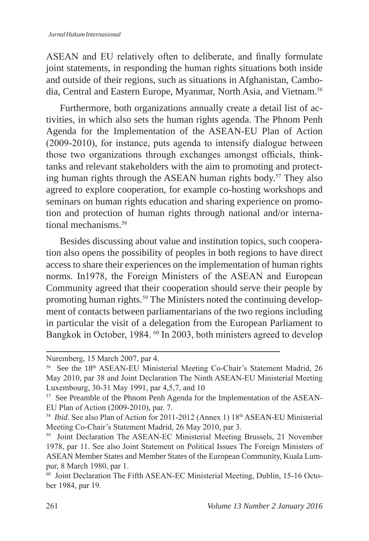ASEAN and EU relatively often to deliberate, and finally formulate joint statements, in responding the human rights situations both inside and outside of their regions, such as situations in Afghanistan, Cambodia, Central and Eastern Europe, Myanmar, North Asia, and Vietnam.<sup>56</sup>

Furthermore, both organizations annually create a detail list of activities, in which also sets the human rights agenda. The Phnom Penh Agenda for the Implementation of the ASEAN-EU Plan of Action (2009-2010), for instance, puts agenda to intensify dialogue between those two organizations through exchanges amongst officials, thinktanks and relevant stakeholders with the aim to promoting and protecting human rights through the ASEAN human rights body.<sup>57</sup> They also agreed to explore cooperation, for example co-hosting workshops and seminars on human rights education and sharing experience on promotion and protection of human rights through national and/or international mechanisms.<sup>58</sup>

Besides discussing about value and institution topics, such cooperation also opens the possibility of peoples in both regions to have direct access to share their experiences on the implementation of human rights norms. In1978, the Foreign Ministers of the ASEAN and European Community agreed that their cooperation should serve their people by promoting human rights.59 The Ministers noted the continuing development of contacts between parliamentarians of the two regions including in particular the visit of a delegation from the European Parliament to Bangkok in October, 1984. <sup>60</sup> In 2003, both ministers agreed to develop

Nuremberg, 15 March 2007, par 4.

<sup>&</sup>lt;sup>56</sup> See the 18<sup>th</sup> ASEAN-EU Ministerial Meeting Co-Chair's Statement Madrid, 26 May 2010, par 38 and Joint Declaration The Ninth ASEAN-EU Ministerial Meeting Luxembourg, 30-31 May 1991, par 4,5,7, and 10

<sup>57</sup> See Preamble of the Phnom Penh Agenda for the Implementation of the ASEAN-EU Plan of Action (2009-2010), par. 7.

<sup>&</sup>lt;sup>58</sup> *Ibid*. See also Plan of Action for 2011-2012 (Annex 1) 18<sup>th</sup> ASEAN-EU Ministerial Meeting Co-Chair's Statement Madrid, 26 May 2010, par 3.

<sup>&</sup>lt;sup>59</sup> Joint Declaration The ASEAN-EC Ministerial Meeting Brussels, 21 November 1978, par 11. See also Joint Statement on Political Issues The Foreign Ministers of ASEAN Member States and Member States of the European Community, Kuala Lumpur, 8 March 1980, par 1.

<sup>60</sup> Joint Declaration The Fifth ASEAN-EC Ministerial Meeting, Dublin, 15-16 October 1984, par 19.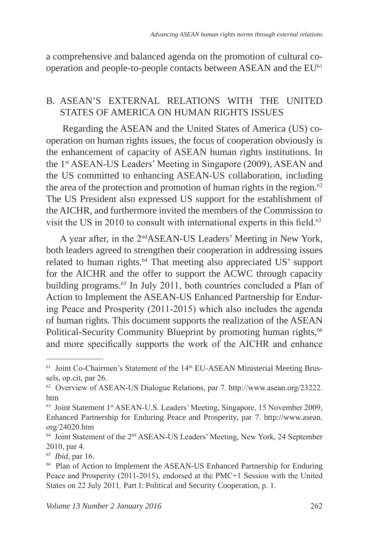a comprehensive and balanced agenda on the promotion of cultural cooperation and people-to-people contacts between ASEAN and the EU<sup>61</sup>

### B. ASEAN'S EXTERNAL RELATIONS WITH THE UNITED STATES OF AMERICA ON HUMAN RIGHTS ISSUES

 Regarding the ASEAN and the United States of America (US) cooperation on human rights issues, the focus of cooperation obviously is the enhancement of capacity of ASEAN human rights institutions. In the 1st ASEAN-US Leaders' Meeting in Singapore (2009), ASEAN and the US committed to enhancing ASEAN-US collaboration, including the area of the protection and promotion of human rights in the region. $62$ The US President also expressed US support for the establishment of the AICHR, and furthermore invited the members of the Commission to visit the US in 2010 to consult with international experts in this field.<sup>63</sup>

A year after, in the 2ndASEAN-US Leaders' Meeting in New York, both leaders agreed to strengthen their cooperation in addressing issues related to human rights.<sup>64</sup> That meeting also appreciated US' support for the AICHR and the offer to support the ACWC through capacity building programs.<sup>65</sup> In July 2011, both countries concluded a Plan of Action to Implement the ASEAN-US Enhanced Partnership for Enduring Peace and Prosperity (2011-2015) which also includes the agenda of human rights*.* This document supports the realization of the ASEAN Political-Security Community Blueprint by promoting human rights,<sup>66</sup> and more specifically supports the work of the AICHR and enhance

<sup>&</sup>lt;sup>61</sup> Joint Co-Chairmen's Statement of the 14<sup>th</sup> EU-ASEAN Ministerial Meeting Brussels, op.cit, par 26.

<sup>62</sup> Overview of ASEAN-US Dialogue Relations, par 7. http://www.asean.org/23222. htm

<sup>63</sup> Joint Statement 1st ASEAN-U.S. Leaders' Meeting, Singapore, 15 November 2009, Enhanced Partnership for Enduring Peace and Prosperity, par 7. http://www.asean. org/24020.htm

<sup>64</sup> Joint Statement of the 2nd ASEAN-US Leaders' Meeting, New York, 24 September 2010, par 4.

<sup>65</sup> *Ibid*, par 16.

<sup>66</sup> Plan of Action to Implement the ASEAN-US Enhanced Partnership for Enduring Peace and Prosperity (2011-2015), endorsed at the PMC+1 Session with the United States on 22 July 2011*,* Part I: Political and Security Cooperation, p. 1.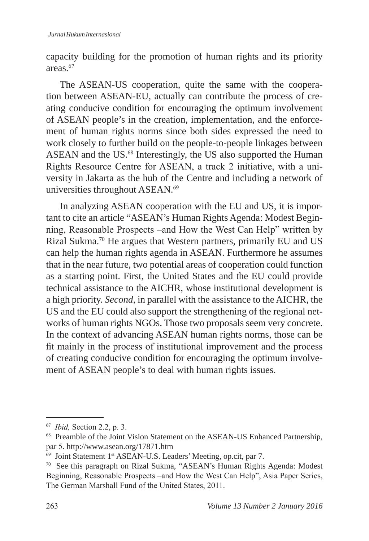capacity building for the promotion of human rights and its priority areas.<sup>67</sup>

The ASEAN-US cooperation, quite the same with the cooperation between ASEAN-EU, actually can contribute the process of creating conducive condition for encouraging the optimum involvement of ASEAN people's in the creation, implementation, and the enforcement of human rights norms since both sides expressed the need to work closely to further build on the people-to-people linkages between ASEAN and the US.<sup>68</sup> Interestingly, the US also supported the Human Rights Resource Centre for ASEAN, a track 2 initiative, with a university in Jakarta as the hub of the Centre and including a network of universities throughout ASEAN.<sup>69</sup>

In analyzing ASEAN cooperation with the EU and US, it is important to cite an article "ASEAN's Human Rights Agenda: Modest Beginning, Reasonable Prospects –and How the West Can Help" written by Rizal Sukma.70 He argues that Western partners, primarily EU and US can help the human rights agenda in ASEAN. Furthermore he assumes that in the near future, two potential areas of cooperation could function as a starting point. First, the United States and the EU could provide technical assistance to the AICHR, whose institutional development is a high priority. *Second*, in parallel with the assistance to the AICHR, the US and the EU could also support the strengthening of the regional networks of human rights NGOs. Those two proposals seem very concrete. In the context of advancing ASEAN human rights norms, those can be fit mainly in the process of institutional improvement and the process of creating conducive condition for encouraging the optimum involvement of ASEAN people's to deal with human rights issues.

<sup>67</sup> *Ibid,* Section 2.2, p. 3.

<sup>&</sup>lt;sup>68</sup> Preamble of the Joint Vision Statement on the ASEAN-US Enhanced Partnership, par 5. http://www.asean.org/17871.htm

<sup>&</sup>lt;sup>69</sup> Joint Statement 1<sup>st</sup> ASEAN-U.S. Leaders' Meeting, op.cit, par 7.

<sup>70</sup> See this paragraph on Rizal Sukma, "ASEAN's Human Rights Agenda: Modest Beginning, Reasonable Prospects –and How the West Can Help", Asia Paper Series, The German Marshall Fund of the United States, 2011.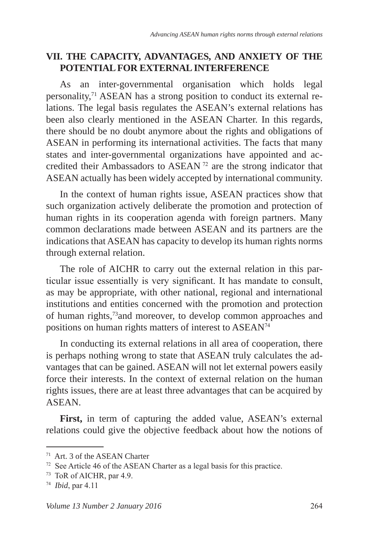# **VII. THE CAPACITY, ADVANTAGES, AND ANXIETY OF THE POTENTIAL FOR EXTERNAL INTERFERENCE**

As an inter-governmental organisation which holds legal personality,71 ASEAN has a strong position to conduct its external relations. The legal basis regulates the ASEAN's external relations has been also clearly mentioned in the ASEAN Charter. In this regards, there should be no doubt anymore about the rights and obligations of ASEAN in performing its international activities. The facts that many states and inter-governmental organizations have appointed and accredited their Ambassadors to ASEAN<sup>72</sup> are the strong indicator that ASEAN actually has been widely accepted by international community.

In the context of human rights issue, ASEAN practices show that such organization actively deliberate the promotion and protection of human rights in its cooperation agenda with foreign partners. Many common declarations made between ASEAN and its partners are the indications that ASEAN has capacity to develop its human rights norms through external relation.

The role of AICHR to carry out the external relation in this particular issue essentially is very significant. It has mandate to consult, as may be appropriate, with other national, regional and international institutions and entities concerned with the promotion and protection of human rights,73and moreover, to develop common approaches and positions on human rights matters of interest to ASEAN<sup>74</sup>

In conducting its external relations in all area of cooperation, there is perhaps nothing wrong to state that ASEAN truly calculates the advantages that can be gained. ASEAN will not let external powers easily force their interests. In the context of external relation on the human rights issues, there are at least three advantages that can be acquired by ASEAN.

**First,** in term of capturing the added value, ASEAN's external relations could give the objective feedback about how the notions of

<sup>71</sup> Art. 3 of the ASEAN Charter

<sup>72</sup> See Article 46 of the ASEAN Charter as a legal basis for this practice.

<sup>73</sup> ToR of AICHR, par 4.9.

<sup>74</sup> *Ibid*, par 4.11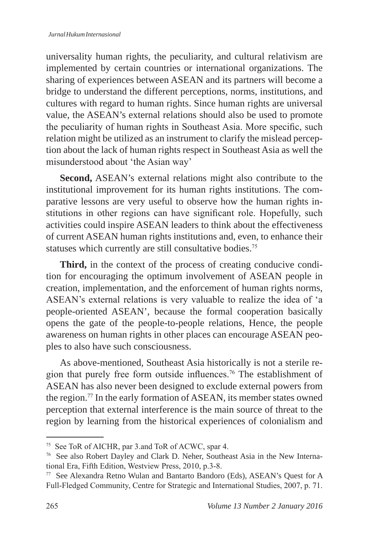universality human rights, the peculiarity, and cultural relativism are implemented by certain countries or international organizations. The sharing of experiences between ASEAN and its partners will become a bridge to understand the different perceptions, norms, institutions, and cultures with regard to human rights. Since human rights are universal value, the ASEAN's external relations should also be used to promote the peculiarity of human rights in Southeast Asia. More specific, such relation might be utilized as an instrument to clarify the mislead perception about the lack of human rights respect in Southeast Asia as well the misunderstood about 'the Asian way'

**Second,** ASEAN's external relations might also contribute to the institutional improvement for its human rights institutions. The comparative lessons are very useful to observe how the human rights institutions in other regions can have significant role. Hopefully, such activities could inspire ASEAN leaders to think about the effectiveness of current ASEAN human rights institutions and, even, to enhance their statuses which currently are still consultative bodies.<sup>75</sup>

**Third,** in the context of the process of creating conducive condition for encouraging the optimum involvement of ASEAN people in creation, implementation, and the enforcement of human rights norms, ASEAN's external relations is very valuable to realize the idea of 'a people-oriented ASEAN', because the formal cooperation basically opens the gate of the people-to-people relations, Hence, the people awareness on human rights in other places can encourage ASEAN peoples to also have such consciousness.

As above-mentioned, Southeast Asia historically is not a sterile region that purely free form outside influences.76 The establishment of ASEAN has also never been designed to exclude external powers from the region.77 In the early formation of ASEAN, its member states owned perception that external interference is the main source of threat to the region by learning from the historical experiences of colonialism and

<sup>75</sup> See ToR of AICHR, par 3.and ToR of ACWC, spar 4.

<sup>76</sup> See also Robert Dayley and Clark D. Neher, Southeast Asia in the New International Era, Fifth Edition, Westview Press, 2010, p.3-8.

<sup>77</sup> See Alexandra Retno Wulan and Bantarto Bandoro (Eds), ASEAN's Quest for A Full-Fledged Community, Centre for Strategic and International Studies, 2007, p. 71.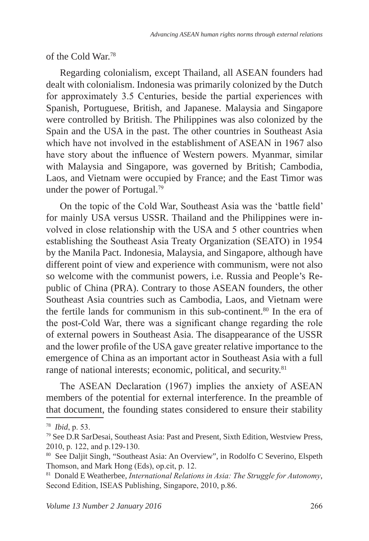of the Cold War.78

Regarding colonialism, except Thailand, all ASEAN founders had dealt with colonialism. Indonesia was primarily colonized by the Dutch for approximately 3.5 Centuries, beside the partial experiences with Spanish, Portuguese, British, and Japanese. Malaysia and Singapore were controlled by British. The Philippines was also colonized by the Spain and the USA in the past. The other countries in Southeast Asia which have not involved in the establishment of ASEAN in 1967 also have story about the influence of Western powers. Myanmar, similar with Malaysia and Singapore, was governed by British; Cambodia, Laos, and Vietnam were occupied by France; and the East Timor was under the power of Portugal.<sup>79</sup>

On the topic of the Cold War, Southeast Asia was the 'battle field' for mainly USA versus USSR. Thailand and the Philippines were involved in close relationship with the USA and 5 other countries when establishing the Southeast Asia Treaty Organization (SEATO) in 1954 by the Manila Pact. Indonesia, Malaysia, and Singapore, although have different point of view and experience with communism, were not also so welcome with the communist powers, i.e. Russia and People's Republic of China (PRA). Contrary to those ASEAN founders, the other Southeast Asia countries such as Cambodia, Laos, and Vietnam were the fertile lands for communism in this sub-continent.<sup>80</sup> In the era of the post-Cold War, there was a significant change regarding the role of external powers in Southeast Asia. The disappearance of the USSR and the lower profile of the USA gave greater relative importance to the emergence of China as an important actor in Southeast Asia with a full range of national interests; economic, political, and security.<sup>81</sup>

The ASEAN Declaration (1967) implies the anxiety of ASEAN members of the potential for external interference. In the preamble of that document, the founding states considered to ensure their stability

<sup>78</sup> *Ibid*, p. 53.

<sup>79</sup> See D.R SarDesai, Southeast Asia: Past and Present, Sixth Edition, Westview Press, 2010, p. 122, and p.129-130.

<sup>80</sup> See Daljit Singh, "Southeast Asia: An Overview", in Rodolfo C Severino, Elspeth Thomson, and Mark Hong (Eds), op.cit, p. 12.

<sup>81</sup> Donald E Weatherbee, *International Relations in Asia: The Struggle for Autonomy*, Second Edition, ISEAS Publishing, Singapore, 2010, p.86.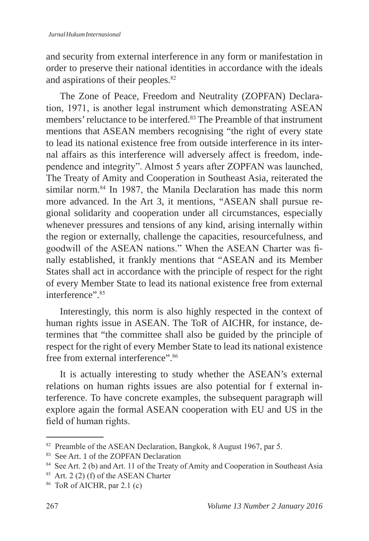and security from external interference in any form or manifestation in order to preserve their national identities in accordance with the ideals and aspirations of their peoples.<sup>82</sup>

The Zone of Peace, Freedom and Neutrality (ZOPFAN) Declaration, 1971, is another legal instrument which demonstrating ASEAN members' reluctance to be interfered.<sup>83</sup> The Preamble of that instrument mentions that ASEAN members recognising "the right of every state to lead its national existence free from outside interference in its internal affairs as this interference will adversely affect is freedom, independence and integrity". Almost 5 years after ZOPFAN was launched, The Treaty of Amity and Cooperation in Southeast Asia, reiterated the similar norm.<sup>84</sup> In 1987, the Manila Declaration has made this norm more advanced. In the Art 3, it mentions, "ASEAN shall pursue regional solidarity and cooperation under all circumstances, especially whenever pressures and tensions of any kind, arising internally within the region or externally, challenge the capacities, resourcefulness, and goodwill of the ASEAN nations." When the ASEAN Charter was finally established, it frankly mentions that "ASEAN and its Member States shall act in accordance with the principle of respect for the right of every Member State to lead its national existence free from external interference". 85

Interestingly, this norm is also highly respected in the context of human rights issue in ASEAN. The ToR of AICHR, for instance, determines that "the committee shall also be guided by the principle of respect for the right of every Member State to lead its national existence free from external interference".<sup>86</sup>

It is actually interesting to study whether the ASEAN's external relations on human rights issues are also potential for f external interference. To have concrete examples, the subsequent paragraph will explore again the formal ASEAN cooperation with EU and US in the field of human rights.

<sup>82</sup> Preamble of the ASEAN Declaration, Bangkok, 8 August 1967, par 5.

<sup>83</sup> See Art. 1 of the ZOPFAN Declaration

<sup>&</sup>lt;sup>84</sup> See Art. 2 (b) and Art. 11 of the Treaty of Amity and Cooperation in Southeast Asia

 $85$  Art. 2 (2) (f) of the ASEAN Charter

 $86$  ToR of AICHR, par 2.1 (c)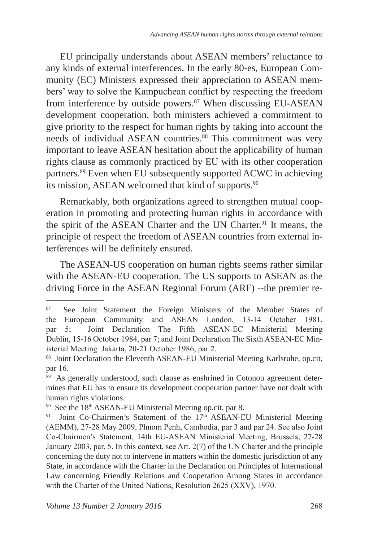EU principally understands about ASEAN members' reluctance to any kinds of external interferences. In the early 80-es, European Community (EC) Ministers expressed their appreciation to ASEAN members' way to solve the Kampuchean conflict by respecting the freedom from interference by outside powers.<sup>87</sup> When discussing EU-ASEAN development cooperation, both ministers achieved a commitment to give priority to the respect for human rights by taking into account the needs of individual ASEAN countries.<sup>88</sup> This commitment was very important to leave ASEAN hesitation about the applicability of human rights clause as commonly practiced by EU with its other cooperation partners.<sup>89</sup> Even when EU subsequently supported ACWC in achieving its mission, ASEAN welcomed that kind of supports.<sup>90</sup>

Remarkably, both organizations agreed to strengthen mutual cooperation in promoting and protecting human rights in accordance with the spirit of the ASEAN Charter and the UN Charter.<sup>91</sup> It means, the principle of respect the freedom of ASEAN countries from external interferences will be definitely ensured.

The ASEAN-US cooperation on human rights seems rather similar with the ASEAN-EU cooperation. The US supports to ASEAN as the driving Force in the ASEAN Regional Forum (ARF) --the premier re-

<sup>&</sup>lt;sup>87</sup> See Joint Statement the Foreign Ministers of the Member States of the European Community and ASEAN London, 13-14 October 1981, par 5; Joint Declaration The Fifth ASEAN-EC Ministerial Meeting Dublin, 15-16 October 1984, par 7; and Joint Declaration The Sixth ASEAN-EC Ministerial Meeting Jakarta, 20-21 October 1986, par 2.

<sup>88</sup> Joint Declaration the Eleventh ASEAN-EU Ministerial Meeting Karlsruhe, op.cit, par 16.

<sup>&</sup>lt;sup>89</sup> As generally understood, such clause as enshrined in Cotonou agreement determines that EU has to ensure its development cooperation partner have not dealt with human rights violations.

<sup>&</sup>lt;sup>90</sup> See the 18<sup>th</sup> ASEAN-EU Ministerial Meeting op.cit, par 8.

<sup>&</sup>lt;sup>91</sup> Joint Co-Chairmen's Statement of the 17<sup>th</sup> ASEAN-EU Ministerial Meeting (AEMM), 27-28 May 2009, Phnom Penh, Cambodia, par 3 and par 24. See also Joint Co-Chairmen's Statement, 14th EU-ASEAN Ministerial Meeting, Brussels, 27-28 January 2003, par. 5. In this context, see Art. 2(7) of the UN Charter and the principle concerning the duty not to intervene in matters within the domestic jurisdiction of any State, in accordance with the Charter in the Declaration on Principles of International Law concerning Friendly Relations and Cooperation Among States in accordance with the Charter of the United Nations, Resolution 2625 (XXV), 1970.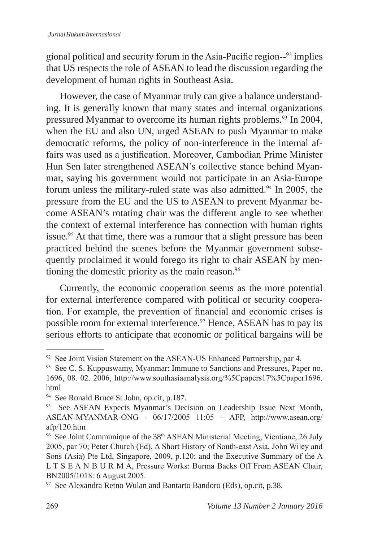gional political and security forum in the Asia-Pacific region--92 implies that US respects the role of ASEAN to lead the discussion regarding the development of human rights in Southeast Asia.

However, the case of Myanmar truly can give a balance understanding. It is generally known that many states and internal organizations pressured Myanmar to overcome its human rights problems.93 In 2004, when the EU and also UN, urged ASEAN to push Myanmar to make democratic reforms, the policy of non-interference in the internal affairs was used as a justification. Moreover, Cambodian Prime Minister Hun Sen later strengthened ASEAN's collective stance behind Myanmar, saying his government would not participate in an Asia-Europe forum unless the military-ruled state was also admitted.<sup>94</sup> In 2005, the pressure from the EU and the US to ASEAN to prevent Myanmar become ASEAN's rotating chair was the different angle to see whether the context of external interference has connection with human rights issue.<sup>95</sup> At that time, there was a rumour that a slight pressure has been practiced behind the scenes before the Myanmar government subsequently proclaimed it would forego its right to chair ASEAN by mentioning the domestic priority as the main reason.<sup>96</sup>

Currently, the economic cooperation seems as the more potential for external interference compared with political or security cooperation. For example, the prevention of financial and economic crises is possible room for external interference.<sup>97</sup> Hence, ASEAN has to pay its serious efforts to anticipate that economic or political bargains will be

<sup>&</sup>lt;sup>92</sup> See Joint Vision Statement on the ASEAN-US Enhanced Partnership, par 4.

<sup>&</sup>lt;sup>93</sup> See C. S. Kuppuswamy, Myanmar: Immune to Sanctions and Pressures, Paper no. 1696, 08. 02. 2006, http://www.southasiaanalysis.org/%5Cpapers17%5Cpaper1696. html

<sup>94</sup> See Ronald Bruce St John, op.cit, p.187.

<sup>&</sup>lt;sup>95</sup> See ASEAN Expects Myanmar's Decision on Leadership Issue Next Month, ASEAN-MYANMAR-ONG - 06/17/2005 11:05 – AFP, http://www.asean.org/ afp/120.htm

<sup>&</sup>lt;sup>96</sup> See Joint Communique of the 38<sup>th</sup> ASEAN Ministerial Meeting, Vientiane, 26 July 2005, par 70; Peter Church (Ed), A Short History of South-east Asia, John Wiley and Sons (Asia) Pte Ltd, Singapore, 2009, p.120; and the Executive Summary of the Λ L T S E Λ N B U R M A, Pressure Works: Burma Backs Off From ASEAN Chair, BN2005/1018: 6 August 2005.

<sup>&</sup>lt;sup>97</sup> See Alexandra Retno Wulan and Bantarto Bandoro (Eds), op.cit, p.38.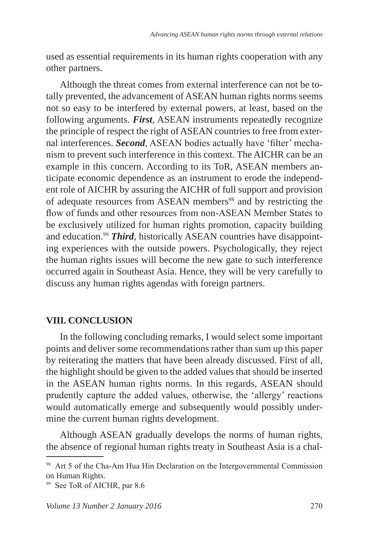used as essential requirements in its human rights cooperation with any other partners.

Although the threat comes from external interference can not be totally prevented, the advancement of ASEAN human rights norms seems not so easy to be interfered by external powers, at least, based on the following arguments. *First*, ASEAN instruments repeatedly recognize the principle of respect the right of ASEAN countries to free from external interferences. *Second*, ASEAN bodies actually have 'filter' mechanism to prevent such interference in this context. The AICHR can be an example in this concern. According to its ToR, ASEAN members anticipate economic dependence as an instrument to erode the independent role of AICHR by assuring the AICHR of full support and provision of adequate resources from ASEAN members<sup>98</sup> and by restricting the flow of funds and other resources from non-ASEAN Member States to be exclusively utilized for human rights promotion, capacity building and education.<sup>99</sup> *Third*, historically ASEAN countries have disappointing experiences with the outside powers. Psychologically, they reject the human rights issues will become the new gate to such interference occurred again in Southeast Asia. Hence, they will be very carefully to discuss any human rights agendas with foreign partners.

#### **VIII. CONCLUSION**

In the following concluding remarks, I would select some important points and deliver some recommendations rather than sum up this paper by reiterating the matters that have been already discussed. First of all, the highlight should be given to the added values that should be inserted in the ASEAN human rights norms. In this regards, ASEAN should prudently capture the added values, otherwise, the 'allergy' reactions would automatically emerge and subsequently would possibly undermine the current human rights development.

Although ASEAN gradually develops the norms of human rights, the absence of regional human rights treaty in Southeast Asia is a chal-

<sup>&</sup>lt;sup>98</sup> Art 5 of the Cha-Am Hua Hin Declaration on the Intergovernmental Commission on Human Rights.

<sup>99</sup> See ToR of AICHR, par 8.6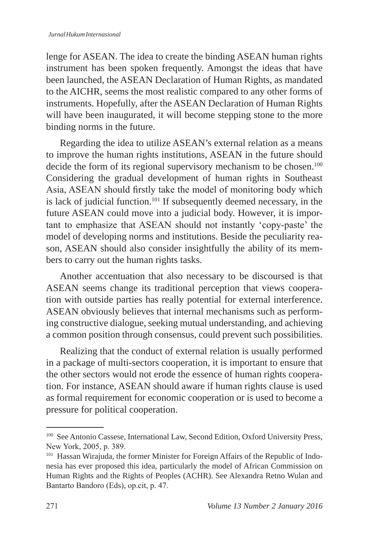lenge for ASEAN. The idea to create the binding ASEAN human rights instrument has been spoken frequently. Amongst the ideas that have been launched, the ASEAN Declaration of Human Rights, as mandated to the AICHR, seems the most realistic compared to any other forms of instruments. Hopefully, after the ASEAN Declaration of Human Rights will have been inaugurated, it will become stepping stone to the more binding norms in the future.

Regarding the idea to utilize ASEAN's external relation as a means to improve the human rights institutions, ASEAN in the future should decide the form of its regional supervisory mechanism to be chosen.<sup>100</sup> Considering the gradual development of human rights in Southeast Asia, ASEAN should firstly take the model of monitoring body which is lack of judicial function.<sup>101</sup> If subsequently deemed necessary, in the future ASEAN could move into a judicial body. However, it is important to emphasize that ASEAN should not instantly 'copy-paste' the model of developing norms and institutions. Beside the peculiarity reason, ASEAN should also consider insightfully the ability of its members to carry out the human rights tasks.

Another accentuation that also necessary to be discoursed is that ASEAN seems change its traditional perception that views cooperation with outside parties has really potential for external interference. ASEAN obviously believes that internal mechanisms such as performing constructive dialogue, seeking mutual understanding, and achieving a common position through consensus, could prevent such possibilities.

Realizing that the conduct of external relation is usually performed in a package of multi-sectors cooperation, it is important to ensure that the other sectors would not erode the essence of human rights cooperation. For instance, ASEAN should aware if human rights clause is used as formal requirement for economic cooperation or is used to become a pressure for political cooperation.

<sup>100</sup> See Antonio Cassese, International Law, Second Edition, Oxford University Press, New York, 2005, p. 389.

<sup>&</sup>lt;sup>101</sup> Hassan Wirajuda, the former Minister for Foreign Affairs of the Republic of Indonesia has ever proposed this idea, particularly the model of African Commission on Human Rights and the Rights of Peoples (ACHR). See Alexandra Retno Wulan and Bantarto Bandoro (Eds), op.cit, p. 47.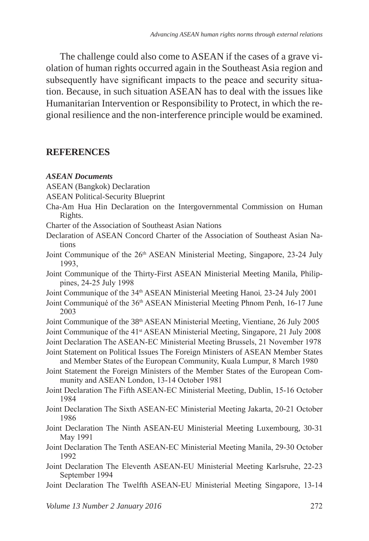The challenge could also come to ASEAN if the cases of a grave violation of human rights occurred again in the Southeast Asia region and subsequently have significant impacts to the peace and security situation. Because, in such situation ASEAN has to deal with the issues like Humanitarian Intervention or Responsibility to Protect, in which the regional resilience and the non-interference principle would be examined.

#### **REFERENCES**

#### *ASEAN Documents*

- ASEAN (Bangkok) Declaration
- ASEAN Political-Security Blueprint
- Cha-Am Hua Hin Declaration on the Intergovernmental Commission on Human Rights.
- Charter of the Association of Southeast Asian Nations
- Declaration of ASEAN Concord Charter of the Association of Southeast Asian Nations
- Joint Communique of the 26<sup>th</sup> ASEAN Ministerial Meeting, Singapore, 23-24 July 1993,
- Joint Communique of the Thirty-First ASEAN Ministerial Meeting Manila, Philippines, 24-25 July 1998
- Joint Communique of the 34th ASEAN Ministerial Meeting Hanoi*,* 23-24 July 2001
- Joint Communiqué of the 36th ASEAN Ministerial Meeting Phnom Penh, 16-17 June 2003
- Joint Communique of the 38<sup>th</sup> ASEAN Ministerial Meeting, Vientiane, 26 July 2005
- Joint Communique of the 41<sup>st</sup> ASEAN Ministerial Meeting, Singapore, 21 July 2008
- Joint Declaration The ASEAN-EC Ministerial Meeting Brussels, 21 November 1978
- Joint Statement on Political Issues The Foreign Ministers of ASEAN Member States and Member States of the European Community, Kuala Lumpur, 8 March 1980
- Joint Statement the Foreign Ministers of the Member States of the European Community and ASEAN London, 13-14 October 1981
- Joint Declaration The Fifth ASEAN-EC Ministerial Meeting, Dublin, 15-16 October 1984
- Joint Declaration The Sixth ASEAN-EC Ministerial Meeting Jakarta, 20-21 October 1986
- Joint Declaration The Ninth ASEAN-EU Ministerial Meeting Luxembourg, 30-31 May 1991
- Joint Declaration The Tenth ASEAN-EC Ministerial Meeting Manila, 29-30 October 1992
- Joint Declaration The Eleventh ASEAN-EU Ministerial Meeting Karlsruhe, 22-23 September 1994
- Joint Declaration The Twelfth ASEAN-EU Ministerial Meeting Singapore, 13-14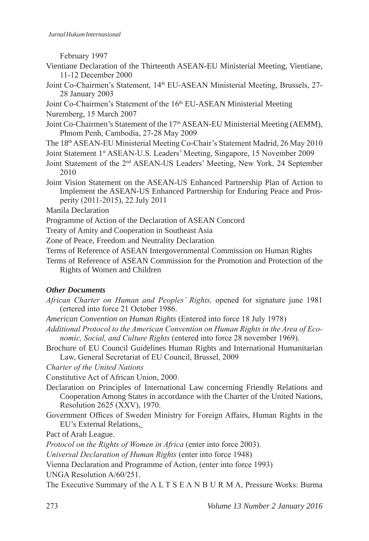February 1997

- Vientiane Declaration of the Thirteenth ASEAN-EU Ministerial Meeting, Vientiane, 11-12 December 2000
- Joint Co-Chairmen's Statement, 14<sup>th</sup> EU-ASEAN Ministerial Meeting, Brussels, 27-28 January 2003
- Joint Co-Chairmen's Statement of the 16<sup>th</sup> EU-ASEAN Ministerial Meeting
- Nuremberg, 15 March 2007
- Joint Co-Chairmen's Statement of the 17<sup>th</sup> ASEAN-EU Ministerial Meeting (AEMM), Phnom Penh, Cambodia, 27-28 May 2009
- The 18th ASEAN-EU Ministerial Meeting Co-Chair's Statement Madrid, 26 May 2010
- Joint Statement 1st ASEAN-U.S. Leaders' Meeting, Singapore, 15 November 2009
- Joint Statement of the 2nd ASEAN-US Leaders' Meeting, New York, 24 September 2010
- Joint Vision Statement on the ASEAN-US Enhanced Partnership Plan of Action to Implement the ASEAN-US Enhanced Partnership for Enduring Peace and Prosperity (2011-2015), 22 July 2011
- Manila Declaration
- Programme of Action of the Declaration of ASEAN Concord
- Treaty of Amity and Cooperation in Southeast Asia
- Zone of Peace, Freedom and Neutrality Declaration
- Terms of Reference of ASEAN Intergovernmental Commission on Human Rights
- Terms of Reference of ASEAN Commission for the Promotion and Protection of the Rights of Women and Children

#### *Other Documents*

- *African Charter on Human and Peoples' Rights,* opened for signature june 1981 (ertered into force 21 October 1986.
- *American Convention on Human Rights* (Entered into force 18 July 1978)
- *Additional Protocol to the American Convention on Human Rights in the Area of Economic, Social, and Culture Rights* (entered into force 28 november 1969).
- Brochure of EU Council Guidelines Human Rights and International Humanitarian Law, General Secretariat of EU Council, Brussel, 2009
- *Charter of the United Nations*

Constitutive Act of African Union, 2000.

- Declaration on Principles of International Law concerning Friendly Relations and Cooperation Among States in accordance with the Charter of the United Nations, Resolution 2625 (XXV), 1970.
- Government Offices of Sweden Ministry for Foreign Affairs, Human Rights in the EU's External Relations.

Pact of Arab League.

*Protocol on the Rights of Women in Africa* (enter into force 2003).

*Universal Declaration of Human Rights* (enter into force 1948)

Vienna Declaration and Programme of Action, (enter into force 1993)

UNGA Resolution A/60/251.

The Executive Summary of the Λ L T S E Λ N B U R M A, Pressure Works: Burma